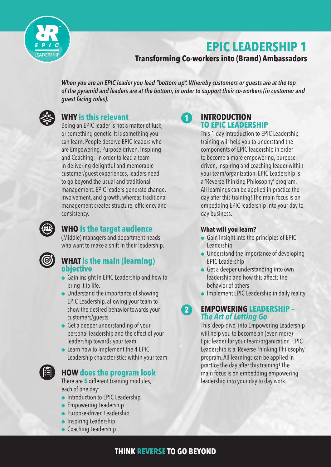

# **EPIC LEADERSHIP 1**

# **Transforming Co-workers into (Brand) Ambassadors**

*When you are an EPIC leader you lead "bottom up". Whereby customers or guests are at the top of the pyramid and leaders are at the bottom, in order to support their co-workers (in customer and guest facing roles).*



# **WHY is this relevant**

Being an EPIC leader is not a matter of luck, or something genetic. It is something you can learn. People deserve EPIC leaders who are Empowering, Purpose-driven, Inspiring and Coaching. In order to lead a team in delivering delightful and memorable customer/guest experiences, leaders need to go beyond the usual and traditional management. EPIC leaders generate change, involvement, and growth, whereas traditional management creates structure, efficiency and consistency.



# **WHO is the target audience**

(Middle) managers and department heads who want to make a shift in their leadership.



# **WHAT is the main (learning) objective**

- **Gain insight in EPIC Leadership and how to** bring it to life.
- $\bullet$  Understand the importance of showing EPIC Leadership, allowing your team to show the desired behavior towards your customers/guests.
- $\bullet$  Get a deeper understanding of your personal leadership and the effect of your leadership towards your team.
- $\bullet$  Learn how to implement the 4 EPIC Leadership characteristics within your team.



# **HOW does the program look**

There are **5** different training modules, each of one day:

- **Introduction to EPIC Leadership**
- $\bullet$  Empowering Leadership
- **•** Purpose-driven Leadership
- $\bullet$  Inspiring Leadership
- **Coaching Leadership**

#### **INTRODUCTION TO EPIC LEADERSHIP 1**

This 1-day Introduction to EPIC Leadership training will help you to understand the components of EPIC leadership in order to become a more empowering, purposedriven, inspiring and coaching leader within your team/organization. EPIC Leadership is a 'Reverse Thinking Philosophy' program. All learnings can be applied in practice the day after this training! The main focus is on embedding EPIC leadership into your day to day business.

#### **What will you learn?**

- Gain insight into the principles of EPIC Leadership
- **.** Understand the importance of developing EPIC Leadership
- $\bullet$  Get a deeper understanding into own leadership and how this affects the behavior of others
- $\bullet$  Implement EPIC Leadership in daily reality

### **EMPOWERING LEADERSHIP –** *The Art of Letting Go* **2**

This 'deep-dive' into Empowering Leadership will help you to become an (even more) Epic leader for your team/organization. EPIC Leadership is a 'Reverse Thinking Philosophy' program. All learnings can be applied in practice the day after this training! The main focus is on embedding empowering leadership into your day to day work.

# **THINK REVERSE TO GO BEYOND**